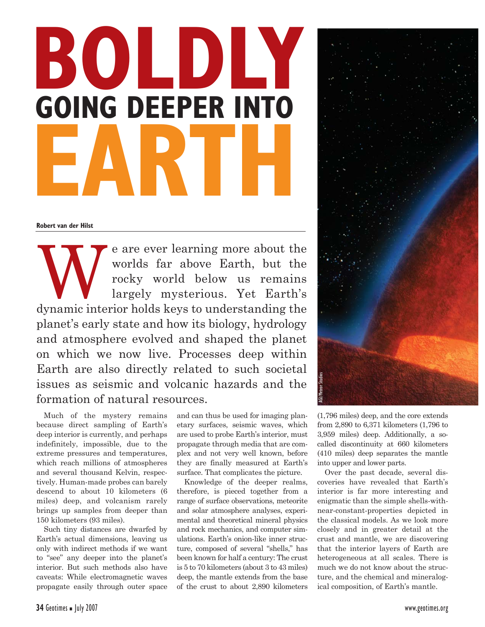# **BOLDLY GOING DEEPER INTO EARTH**

**Robert van der Hilst**

We are ever learning more about the<br>worlds far above Earth, but the<br>rocky world below us remains<br>largely mysterious. Yet Earth's<br>dynamic interior bolds keys to understanding the worlds far above Earth, but the rocky world below us remains largely mysterious. Yet Earth's dynamic interior holds keys to understanding the planet's early state and how its biology, hydrology and atmosphere evolved and shaped the planet on which we now live. Processes deep within Earth are also directly related to such societal issues as seismic and volcanic hazards and the formation of natural resources.

Much of the mystery remains because direct sampling of Earth's deep interior is currently, and perhaps indefinitely, impossible, due to the extreme pressures and temperatures, which reach millions of atmospheres and several thousand Kelvin, respectively. Human-made probes can barely descend to about 10 kilometers (6 miles) deep, and volcanism rarely brings up samples from deeper than 150 kilometers (93 miles).

Such tiny distances are dwarfed by Earth's actual dimensions, leaving us only with indirect methods if we want to "see" any deeper into the planet's interior. But such methods also have caveats: While electromagnetic waves propagate easily through outer space and can thus be used for imaging planetary surfaces, seismic waves, which are used to probe Earth's interior, must propagate through media that are complex and not very well known, before they are finally measured at Earth's surface. That complicates the picture.

Knowledge of the deeper realms, therefore, is pieced together from a range of surface observations, meteorite and solar atmosphere analyses, experimental and theoretical mineral physics and rock mechanics, and computer simulations. Earth's onion-like inner structure, composed of several "shells," has been known for half a century: The crust is 5 to 70 kilometers (about 3 to 43 miles) deep, the mantle extends from the base of the crust to about 2,890 kilometers



(1,796 miles) deep, and the core extends from 2,890 to 6,371 kilometers (1,796 to 3,959 miles) deep. Additionally, a socalled discontinuity at 660 kilometers (410 miles) deep separates the mantle into upper and lower parts.

Over the past decade, several discoveries have revealed that Earth's interior is far more interesting and enigmatic than the simple shells-withnear-constant-properties depicted in the classical models. As we look more closely and in greater detail at the crust and mantle, we are discovering that the interior layers of Earth are heterogeneous at all scales. There is much we do not know about the structure, and the chemical and mineralogical composition, of Earth's mantle.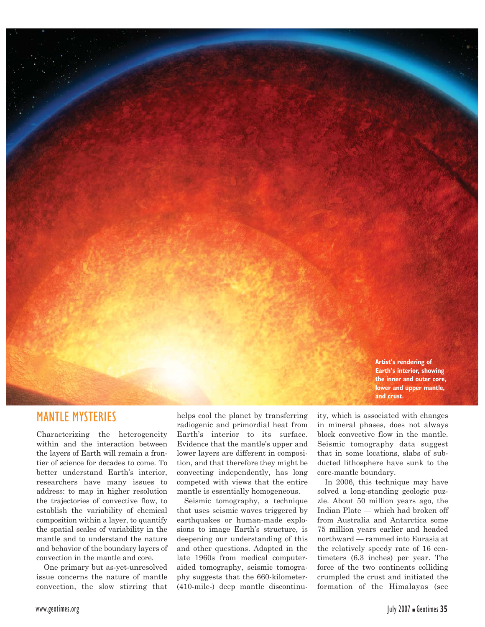

#### MANTLE MYSTERIES

Characterizing the heterogeneity within and the interaction between the layers of Earth will remain a frontier of science for decades to come. To better understand Earth's interior, researchers have many issues to address: to map in higher resolution the trajectories of convective flow, to establish the variability of chemical composition within a layer, to quantify the spatial scales of variability in the mantle and to understand the nature and behavior of the boundary layers of convection in the mantle and core.

One primary but as-yet-unresolved issue concerns the nature of mantle convection, the slow stirring that

helps cool the planet by transferring radiogenic and primordial heat from Earth's interior to its surface. Evidence that the mantle's upper and lower layers are different in composition, and that therefore they might be convecting independently, has long competed with views that the entire mantle is essentially homogeneous.

Seismic tomography, a technique that uses seismic waves triggered by earthquakes or human-made explosions to image Earth's structure, is deepening our understanding of this and other questions. Adapted in the late 1960s from medical computeraided tomography, seismic tomography suggests that the 660-kilometer- (410-mile-) deep mantle discontinuity, which is associated with changes in mineral phases, does not always block convective flow in the mantle. Seismic tomography data suggest that in some locations, slabs of subducted lithosphere have sunk to the core-mantle boundary.

In 2006, this technique may have solved a long-standing geologic puzzle. About 50 million years ago, the Indian Plate — which had broken off from Australia and Antarctica some 75 million years earlier and headed northward — rammed into Eurasia at the relatively speedy rate of 16 centimeters (6.3 inches) per year. The force of the two continents colliding crumpled the crust and initiated the formation of the Himalayas (see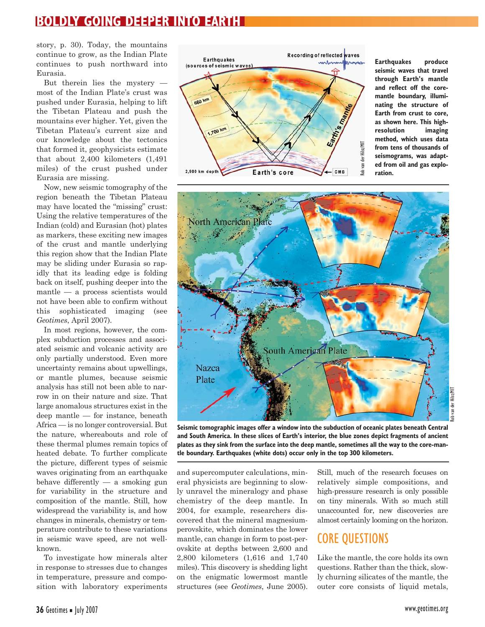### **BOLDLY GOING DEEPER INTO EARTH**

story, p. 30). Today, the mountains continue to grow, as the Indian Plate continues to push northward into Eurasia.

But therein lies the mystery most of the Indian Plate's crust was pushed under Eurasia, helping to lift the Tibetan Plateau and push the mountains ever higher. Yet, given the Tibetan Plateau's current size and our knowledge about the tectonics that formed it, geophysicists estimate that about 2,400 kilometers (1,491 miles) of the crust pushed under Eurasia are missing.

Now, new seismic tomography of the region beneath the Tibetan Plateau may have located the "missing" crust: Using the relative temperatures of the Indian (cold) and Eurasian (hot) plates as markers, these exciting new images of the crust and mantle underlying this region show that the Indian Plate may be sliding under Eurasia so rapidly that its leading edge is folding back on itself, pushing deeper into the mantle — a process scientists would not have been able to confirm without this sophisticated imaging (see *Geotimes*, April 2007).

In most regions, however, the complex subduction processes and associated seismic and volcanic activity are only partially understood. Even more uncertainty remains about upwellings, or mantle plumes, because seismic analysis has still not been able to narrow in on their nature and size. That large anomalous structures exist in the deep mantle — for instance, beneath Africa — is no longer controversial. But the nature, whereabouts and role of these thermal plumes remain topics of heated debate. To further complicate the picture, different types of seismic waves originating from an earthquake behave differently  $-$  a smoking gun for variability in the structure and composition of the mantle. Still, how widespread the variability is, and how changes in minerals, chemistry or temperature contribute to these variations in seismic wave speed, are not wellknown.

To investigate how minerals alter in response to stresses due to changes in temperature, pressure and composition with laboratory experiments



**Earthquakes produce seismic waves that travel through Earth's mantle and reflect off the coremantle boundary, illuminating the structure of Earth from crust to core, as shown here. This highresolution imaging method, which uses data from tens of thousands of seismograms, was adapted from oil and gas exploration.** 



**Seismic tomographic images offer a window into the subduction of oceanic plates beneath Central and South America. In these slices of Earth's interior, the blue zones depict fragments of ancient plates as they sink from the surface into the deep mantle, sometimes all the way to the core-mantle boundary. Earthquakes (white dots) occur only in the top 300 kilometers.**

and supercomputer calculations, mineral physicists are beginning to slowly unravel the mineralogy and phase chemistry of the deep mantle. In 2004, for example, researchers discovered that the mineral magnesiumperovskite, which dominates the lower mantle, can change in form to post-perovskite at depths between 2,600 and 2,800 kilometers (1,616 and 1,740 miles). This discovery is shedding light on the enigmatic lowermost mantle structures (see *Geotimes*, June 2005).

Still, much of the research focuses on relatively simple compositions, and high-pressure research is only possible on tiny minerals. With so much still unaccounted for, new discoveries are almost certainly looming on the horizon.

## CORE QUESTIONS

Like the mantle, the core holds its own questions. Rather than the thick, slowly churning silicates of the mantle, the outer core consists of liquid metals,